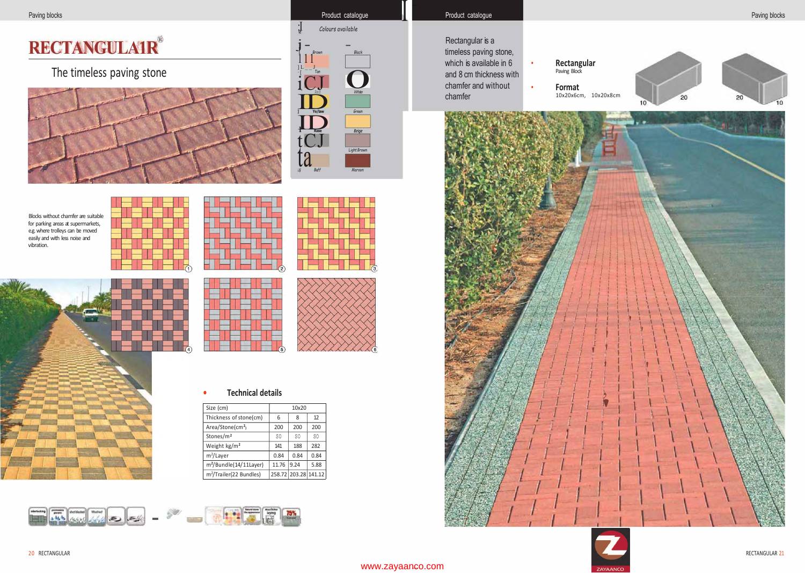# **RECTANGULA1R®**

# The timeless paving stone





## Product catalogue

- Rectangular is a timeless paving stone, which is available in 6 and 8 cm thickness with chamfer and without
- 
- 



Blocks without chamfer are suitable for parking areas at supermarkets, e.g. where trolleys can be moved easily and with less noise and vibration.





|  |  | $\overline{3}$ |
|--|--|----------------|

in a basic in the same in the same and





#### **Technical details**  $\bullet$

| Size (cm)                           | 10x20          |                      |      |
|-------------------------------------|----------------|----------------------|------|
| Thickness of stone(cm)              | 6              | 8                    | 12   |
| Area/Stone(cm <sup>2</sup> )        | 200            | 200                  | 200  |
| Stones/m <sup>2</sup>               | S <sub>0</sub> | SO.                  | S0   |
| Weight kg/m <sup>2</sup>            | 141            | 188                  | 282  |
| $m^2$ /Layer                        | 0.84           | 0.84                 | 0.84 |
| m <sup>2</sup> /Bundle(14/11Layer)  | 11.76          | 9.24                 | 5.88 |
| m <sup>2</sup> /Trailer(22 Bundles) |                | 258.72 203.28 141.12 |      |

 $75%$ 





### www.zayaanco.com



RECTANGULAR 21